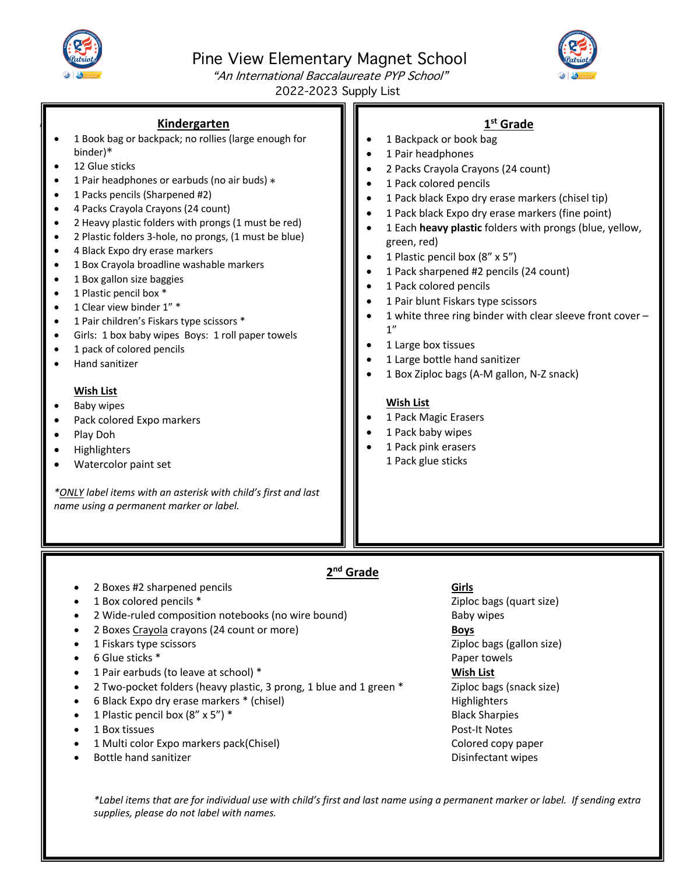

,

# Pine View Elementary Magnet School



"An International Baccalaureate PYP School" 2022-2023 Supply List

#### **Kindergarten**

- 1 Book bag or backpack; no rollies (large enough for binder) \*
- 12 Glue sticks
- 1 Pair headphones or earbuds (no air buds) \*
- 1 Packs pencils (Sharpened #2)
- 4 Packs Crayola Crayons (24 count)
- 2 Heavy plastic folders with prongs (1 must be red)
- 2 Plastic folders 3-hole, no prongs, (1 must be blue)
- 4 Black Expo dry erase markers
- 1 Box Crayola broadline washable markers
- 1 Box gallon size baggies
- 1 Plastic pencil box \*
- 1 Clear view binder 1" \*
- 1 Pair children's Fiskars type scissors \*
- Girls: 1 box baby wipes Boys: 1 roll paper towels
- 1 pack of colored pencils
- Hand sanitizer

#### **Wish List**

- Baby wipes
- Pack colored Expo markers
- Play Doh
- Highlighters
- Watercolor paint set

*\*ONLY label items with an asterisk with child's first and last name using a permanent marker or label.*

## **1st Grade**

- 1 Backpack or book bag
- 1 Pair headphones
- 2 Packs Crayola Crayons (24 count)
- 1 Pack colored pencils
- 1 Pack black Expo dry erase markers (chisel tip)
- 1 Pack black Expo dry erase markers (fine point)
- 1 Each **heavy plastic** folders with prongs (blue, yellow, green, red)
- 1 Plastic pencil box (8" x 5")
- 1 Pack sharpened #2 pencils (24 count)
- 1 Pack colored pencils
- 1 Pair blunt Fiskars type scissors
- 1 white three ring binder with clear sleeve front cover 1"
- 1 Large box tissues
- 1 Large bottle hand sanitizer
- 1 Box Ziploc bags (A-M gallon, N-Z snack)

#### **Wish List**

- 1 Pack Magic Erasers
- 1 Pack baby wipes
- 1 Pack pink erasers 1 Pack glue sticks

## **2nd Grade**

- 2 Boxes #2 sharpened pencils **Girls**
- 1 Box colored pencils \* The colored pencils \* The colored pencils \* The colored pencils \* The colored pencils \* The colored pencils \* The colored pencils \* The colored pencils \* The colored pencils \* The colored pencils \*
- 2 Wide-ruled composition notebooks (no wire bound) Baby wipes
- 2 Boxes Crayola crayons (24 count or more) **Boys**
- 1 Fiskars type scissors **Ziploc bags (gallon size) 2iploc bags (gallon size) 2iploc bags (gallon size)**
- 6 Glue sticks \* Paper towels
- 1 Pair earbuds (to leave at school) \* **Wish List**
- 2 Two-pocket folders (heavy plastic, 3 prong, 1 blue and 1 green \* Ziploc bags (snack size)
- 6 Black Expo dry erase markers \* (chisel) example the matrix of the Highlighters Highlighters
- 1 Plastic pencil box (8" x 5") \* Black Sharpies
- 1 Box tissues Post-It Notes
- 1 Multi color Expo markers pack(Chisel) exponent control colored copy paper
- **Bottle hand sanitizer Community Community Community Community Community Community Community Community Community**

- 
- 
- 
- 

*\*Label items that are for individual use with child's first and last name using a permanent marker or label. If sending extra supplies, please do not label with names.*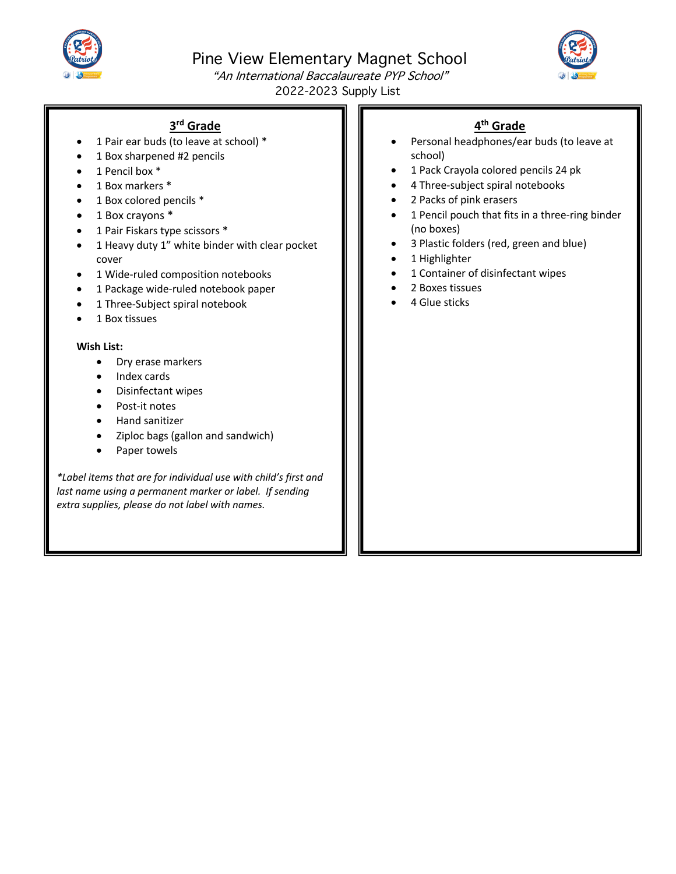

Pine View Elementary Magnet School



"An International Baccalaureate PYP School" 2022-2023 Supply List

### **3rd Grade**

- 1 Pair ear buds (to leave at school) \*
- 1 Box sharpened #2 pencils
- 1 Pencil box \*
- 1 Box markers \*
- $\cdot$  1 Box colored pencils  $*$
- $\bullet$  1 Box crayons  $^*$
- 1 Pair Fiskars type scissors \*
- 1 Heavy duty 1" white binder with clear pocket cover
- 1 Wide-ruled composition notebooks
- 1 Package wide-ruled notebook paper
- 1 Three-Subject spiral notebook
- 1 Box tissues

#### **Wish List:**

- Dry erase markers
- Index cards
- Disinfectant wipes
- Post-it notes
- Hand sanitizer
- Ziploc bags (gallon and sandwich)
- Paper towels

*\*Label items that are for individual use with child's first and last name using a permanent marker or label. If sending extra supplies, please do not label with names.*

# **4th Grade**

- Personal headphones/ear buds (to leave at school)
- 1 Pack Crayola colored pencils 24 pk
- 4 Three-subject spiral notebooks
- 2 Packs of pink erasers
- 1 Pencil pouch that fits in a three-ring binder (no boxes)
- 3 Plastic folders (red, green and blue)
- 1 Highlighter
- 1 Container of disinfectant wipes
- 2 Boxes tissues
- 4 Glue sticks